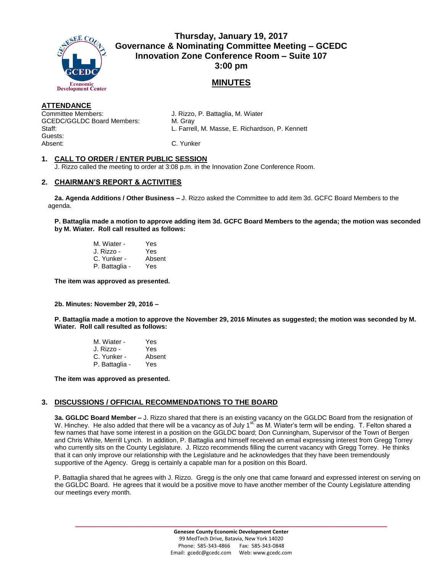

**Thursday, January 19, 2017 Governance & Nominating Committee Meeting – GCEDC Innovation Zone Conference Room – Suite 107 3:00 pm**

# **MINUTES**

### **ATTENDANCE**

Committee Members: J. Rizzo, P. Battaglia, M. Wiater GCEDC/GGLDC Board Members: M. Gray Guests: Absent: C. Yunker

Staff: L. Farrell, M. Masse, E. Richardson, P. Kennett

## **1. CALL TO ORDER / ENTER PUBLIC SESSION**

J. Rizzo called the meeting to order at 3:08 p.m. in the Innovation Zone Conference Room.

# **2. CHAIRMAN'S REPORT & ACTIVITIES**

**2a. Agenda Additions / Other Business –** J. Rizzo asked the Committee to add item 3d. GCFC Board Members to the agenda.

**P. Battaglia made a motion to approve adding item 3d. GCFC Board Members to the agenda; the motion was seconded by M. Wiater. Roll call resulted as follows:**

| M. Wiater -    | Yes    |
|----------------|--------|
| J. Rizzo -     | Yes    |
| C. Yunker -    | Absent |
| P. Battaglia - | Yes    |

**The item was approved as presented.** 

### **2b. Minutes: November 29, 2016 –**

**P. Battaglia made a motion to approve the November 29, 2016 Minutes as suggested; the motion was seconded by M. Wiater. Roll call resulted as follows:**

| M. Wiater -    | Yes    |
|----------------|--------|
| J. Rizzo -     | Yes    |
| C. Yunker -    | Absent |
| P. Battaglia - | Yes    |

**The item was approved as presented.** 

## **3. DISCUSSIONS / OFFICIAL RECOMMENDATIONS TO THE BOARD**

**3a. GGLDC Board Member –** J. Rizzo shared that there is an existing vacancy on the GGLDC Board from the resignation of W. Hinchey. He also added that there will be a vacancy as of July 1<sup>st,</sup> as M. Wiater's term will be ending. T. Felton shared a few names that have some interest in a position on the GGLDC board; Don Cunningham, Supervisor of the Town of Bergen and Chris White, Merrill Lynch. In addition, P. Battaglia and himself received an email expressing interest from Gregg Torrey who currently sits on the County Legislature. J. Rizzo recommends filling the current vacancy with Gregg Torrey. He thinks that it can only improve our relationship with the Legislature and he acknowledges that they have been tremendously supportive of the Agency. Gregg is certainly a capable man for a position on this Board.

P. Battaglia shared that he agrees with J. Rizzo. Gregg is the only one that came forward and expressed interest on serving on the GGLDC Board. He agrees that it would be a positive move to have another member of the County Legislature attending our meetings every month.

**\_\_\_\_\_\_\_\_\_\_\_\_\_\_\_\_\_\_\_\_\_\_\_\_\_\_\_\_\_\_\_\_\_\_\_\_\_\_\_\_\_\_\_\_\_\_\_\_\_\_\_\_\_\_\_\_\_\_\_\_\_\_\_\_\_\_\_\_\_\_\_\_**